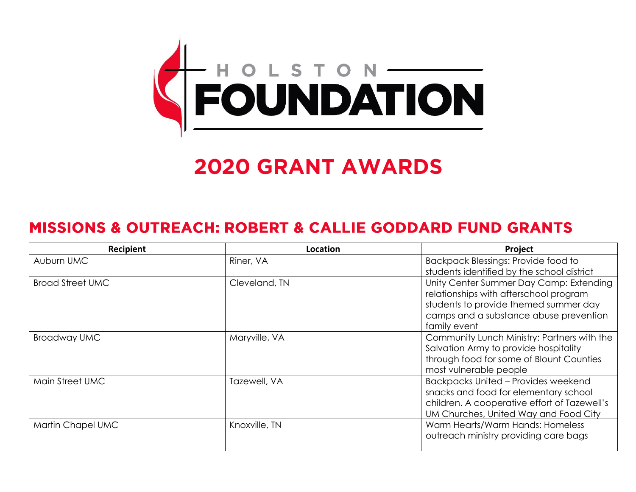

# **2020 GRANT AWARDS**

## **MISSIONS & OUTREACH: ROBERT & CALLIE GODDARD FUND GRANTS**

| Recipient               | Location      | Project                                                                                                                                                                              |
|-------------------------|---------------|--------------------------------------------------------------------------------------------------------------------------------------------------------------------------------------|
| Auburn UMC              | Riner, VA     | <b>Backpack Blessings: Provide food to</b><br>students identified by the school district                                                                                             |
| <b>Broad Street UMC</b> | Cleveland, TN | Unity Center Summer Day Camp: Extending<br>relationships with afterschool program<br>students to provide themed summer day<br>camps and a substance abuse prevention<br>family event |
| <b>Broadway UMC</b>     | Maryville, VA | Community Lunch Ministry: Partners with the<br>Salvation Army to provide hospitality<br>through food for some of Blount Counties<br>most vulnerable people                           |
| Main Street UMC         | Tazewell, VA  | <b>Backpacks United - Provides weekend</b><br>snacks and food for elementary school<br>children. A cooperative effort of Tazewell's<br>UM Churches, United Way and Food City         |
| Martin Chapel UMC       | Knoxville, TN | Warm Hearts/Warm Hands: Homeless<br>outreach ministry providing care bags                                                                                                            |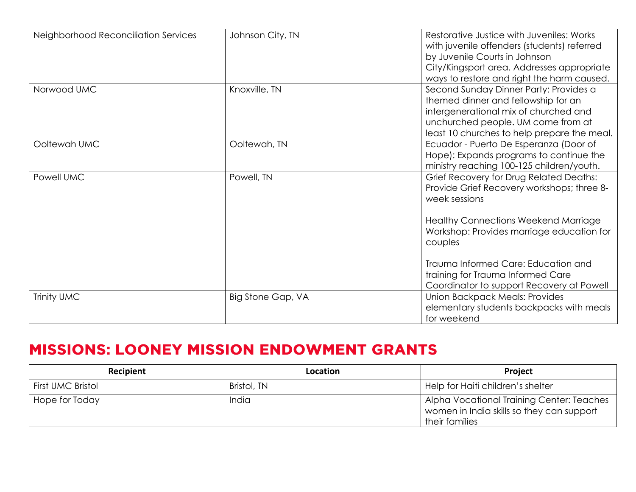| Neighborhood Reconciliation Services | Johnson City, TN  | Restorative Justice with Juveniles: Works<br>with juvenile offenders (students) referred<br>by Juvenile Courts in Johnson<br>City/Kingsport area. Addresses appropriate<br>ways to restore and right the harm caused.                                                                     |
|--------------------------------------|-------------------|-------------------------------------------------------------------------------------------------------------------------------------------------------------------------------------------------------------------------------------------------------------------------------------------|
| Norwood UMC                          | Knoxville, TN     | Second Sunday Dinner Party: Provides a<br>themed dinner and fellowship for an<br>intergenerational mix of churched and<br>unchurched people. UM come from at<br>least 10 churches to help prepare the meal.                                                                               |
| Ooltewah UMC                         | Ooltewah, TN      | Ecuador - Puerto De Esperanza (Door of<br>Hope): Expands programs to continue the<br>ministry reaching 100-125 children/youth.                                                                                                                                                            |
| Powell UMC                           | Powell, TN        | Grief Recovery for Drug Related Deaths:<br>Provide Grief Recovery workshops; three 8-<br>week sessions<br><b>Healthy Connections Weekend Marriage</b><br>Workshop: Provides marriage education for<br>couples<br>Trauma Informed Care: Education and<br>training for Trauma Informed Care |
|                                      |                   | Coordinator to support Recovery at Powell                                                                                                                                                                                                                                                 |
| Trinity UMC                          | Big Stone Gap, VA | <b>Union Backpack Meals: Provides</b><br>elementary students backpacks with meals<br>for weekend                                                                                                                                                                                          |

# **MISSIONS: LOONEY MISSION ENDOWMENT GRANTS**

| <b>Recipient</b>         | <b>Location</b> | <b>Project</b>                                                                                           |
|--------------------------|-----------------|----------------------------------------------------------------------------------------------------------|
| <b>First UMC Bristol</b> | Bristol, TN     | Help for Haiti children's shelter                                                                        |
| Hope for Today           | India           | Alpha Vocational Training Center: Teaches<br>women in India skills so they can support<br>their families |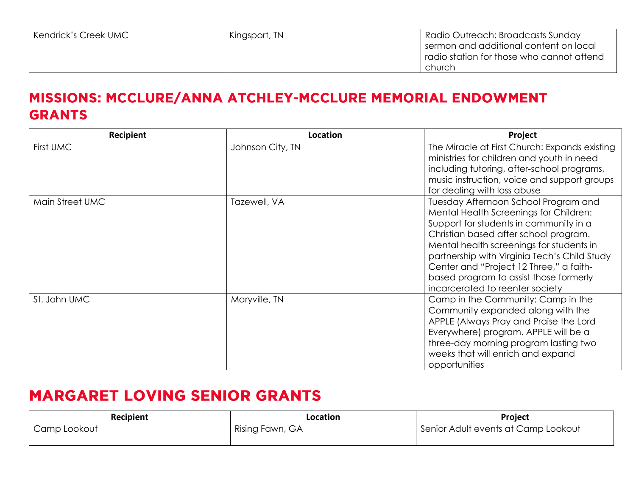#### MISSIONS: MCCLURE/ANNA ATCHLEY-MCCLURE MEMORIAL ENDOWMENT **GRANTS**

| Recipient       | Location         | Project                                                                                                                                                                                                                                                                                                                                                                               |
|-----------------|------------------|---------------------------------------------------------------------------------------------------------------------------------------------------------------------------------------------------------------------------------------------------------------------------------------------------------------------------------------------------------------------------------------|
| First UMC       | Johnson City, TN | The Miracle at First Church: Expands existing<br>ministries for children and youth in need<br>including tutoring, after-school programs,<br>music instruction, voice and support groups<br>for dealing with loss abuse                                                                                                                                                                |
| Main Street UMC | Tazewell, VA     | Tuesday Afternoon School Program and<br>Mental Health Screenings for Children:<br>Support for students in community in a<br>Christian based after school program.<br>Mental health screenings for students in<br>partnership with Virginia Tech's Child Study<br>Center and "Project 12 Three," a faith-<br>based program to assist those formerly<br>incarcerated to reenter society |
| St. John UMC    | Maryville, TN    | Camp in the Community: Camp in the<br>Community expanded along with the<br>APPLE (Always Pray and Praise the Lord<br>Everywhere) program. APPLE will be a<br>three-day morning program lasting two<br>weeks that will enrich and expand<br>opportunities                                                                                                                              |

# **MARGARET LOVING SENIOR GRANTS**

| Recipient    | Location        | Project                             |
|--------------|-----------------|-------------------------------------|
| Camp Lookout | Rising Fawn, GA | Senior Adult events at Camp Lookout |
|              |                 |                                     |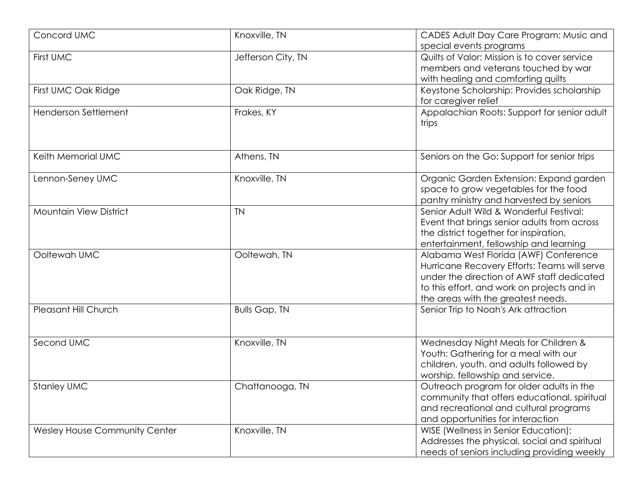| Concord UMC                          | Knoxville, TN        | CADES Adult Day Care Program: Music and<br>special events programs                                                                                                                                                       |
|--------------------------------------|----------------------|--------------------------------------------------------------------------------------------------------------------------------------------------------------------------------------------------------------------------|
| First UMC                            | Jefferson City, TN   | Quilts of Valor: Mission is to cover service<br>members and veterans touched by war<br>with healing and comforting quilts                                                                                                |
| First UMC Oak Ridge                  | Oak Ridge, TN        | Keystone Scholarship: Provides scholarship<br>for caregiver relief                                                                                                                                                       |
| <b>Henderson Settlement</b>          | Frakes, KY           | Appalachian Roots: Support for senior adult<br>trips                                                                                                                                                                     |
| Keith Memorial UMC                   | Athens, TN           | Seniors on the Go: Support for senior trips                                                                                                                                                                              |
| Lennon-Seney UMC                     | Knoxville, TN        | Organic Garden Extension: Expand garden<br>space to grow vegetables for the food<br>pantry ministry and harvested by seniors                                                                                             |
| <b>Mountain View District</b>        | <b>TN</b>            | Senior Adult Wild & Wonderful Festival:<br>Event that brings senior adults from across<br>the district together for inspiration,<br>entertainment, fellowship and learning                                               |
| Ooltewah UMC                         | Ooltewah, TN         | Alabama West Florida (AWF) Conference<br>Hurricane Recovery Efforts: Teams will serve<br>under the direction of AWF staff dedicated<br>to this effort, and work on projects and in<br>the areas with the greatest needs. |
| Pleasant Hill Church                 | <b>Bulls Gap, TN</b> | Senior Trip to Noah's Ark attraction                                                                                                                                                                                     |
| Second UMC                           | Knoxville, TN        | Wednesday Night Meals for Children &<br>Youth: Gathering for a meal with our<br>children, youth, and adults followed by<br>worship, fellowship and service.                                                              |
| <b>Stanley UMC</b>                   | Chattanooga, TN      | Outreach program for older adults in the<br>community that offers educational, spiritual<br>and recreational and cultural programs<br>and opportunities for interaction                                                  |
| <b>Wesley House Community Center</b> | Knoxville, TN        | WISE (Wellness in Senior Education):<br>Addresses the physical, social and spiritual<br>needs of seniors including providing weekly                                                                                      |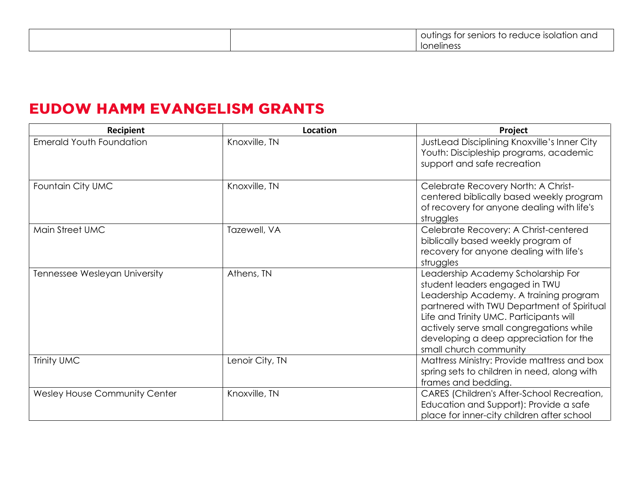## **EUDOW HAMM EVANGELISM GRANTS**

| Recipient                            | Location        | Project                                                                                                                                                                                                                                                                                                                 |
|--------------------------------------|-----------------|-------------------------------------------------------------------------------------------------------------------------------------------------------------------------------------------------------------------------------------------------------------------------------------------------------------------------|
| <b>Emerald Youth Foundation</b>      | Knoxville, TN   | JustLead Disciplining Knoxville's Inner City<br>Youth: Discipleship programs, academic<br>support and safe recreation                                                                                                                                                                                                   |
| Fountain City UMC                    | Knoxville, TN   | Celebrate Recovery North: A Christ-<br>centered biblically based weekly program<br>of recovery for anyone dealing with life's<br>struggles                                                                                                                                                                              |
| Main Street UMC                      | Tazewell, VA    | Celebrate Recovery: A Christ-centered<br>biblically based weekly program of<br>recovery for anyone dealing with life's<br>struggles                                                                                                                                                                                     |
| Tennessee Wesleyan University        | Athens, TN      | Leadership Academy Scholarship For<br>student leaders engaged in TWU<br>Leadership Academy. A training program<br>partnered with TWU Department of Spiritual<br>Life and Trinity UMC. Participants will<br>actively serve small congregations while<br>developing a deep appreciation for the<br>small church community |
| Trinity UMC                          | Lenoir City, TN | Mattress Ministry: Provide mattress and box<br>spring sets to children in need, along with<br>frames and bedding.                                                                                                                                                                                                       |
| <b>Wesley House Community Center</b> | Knoxville, TN   | CARES (Children's After-School Recreation,<br>Education and Support): Provide a safe<br>place for inner-city children after school                                                                                                                                                                                      |